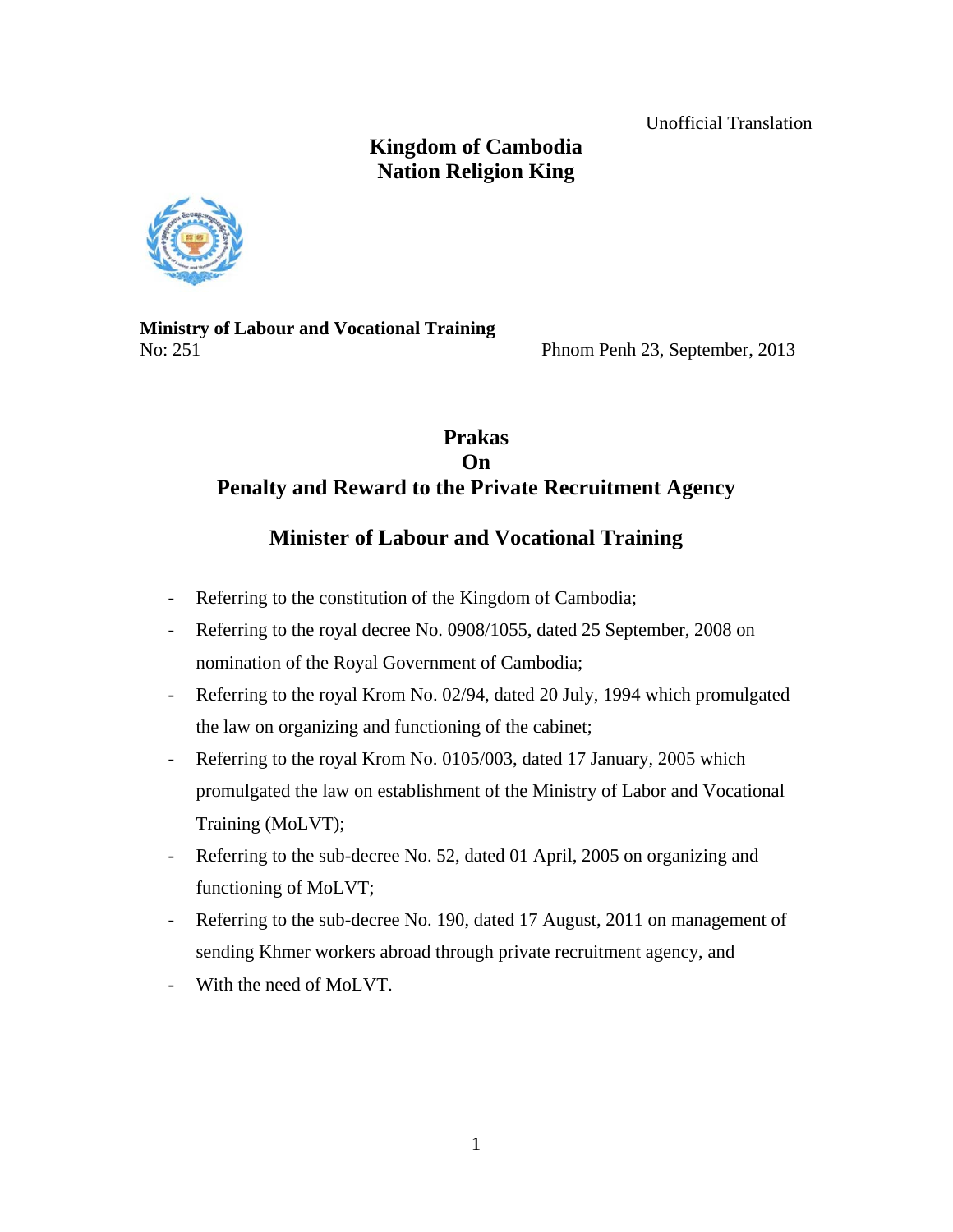Unofficial Translation

# **Kingdom of Cambodia Nation Religion King**



**Ministry of Labour and Vocational Training**  No: 251 Phnom Penh 23, September, 2013

## **Prakas On Penalty and Reward to the Private Recruitment Agency**

# **Minister of Labour and Vocational Training**

- Referring to the constitution of the Kingdom of Cambodia;
- Referring to the royal decree No. 0908/1055, dated 25 September, 2008 on nomination of the Royal Government of Cambodia;
- Referring to the royal Krom No. 02/94, dated 20 July, 1994 which promulgated the law on organizing and functioning of the cabinet;
- Referring to the royal Krom No. 0105/003, dated 17 January, 2005 which promulgated the law on establishment of the Ministry of Labor and Vocational Training (MoLVT);
- Referring to the sub-decree No. 52, dated 01 April, 2005 on organizing and functioning of MoLVT;
- Referring to the sub-decree No. 190, dated 17 August, 2011 on management of sending Khmer workers abroad through private recruitment agency, and
- With the need of MoLVT.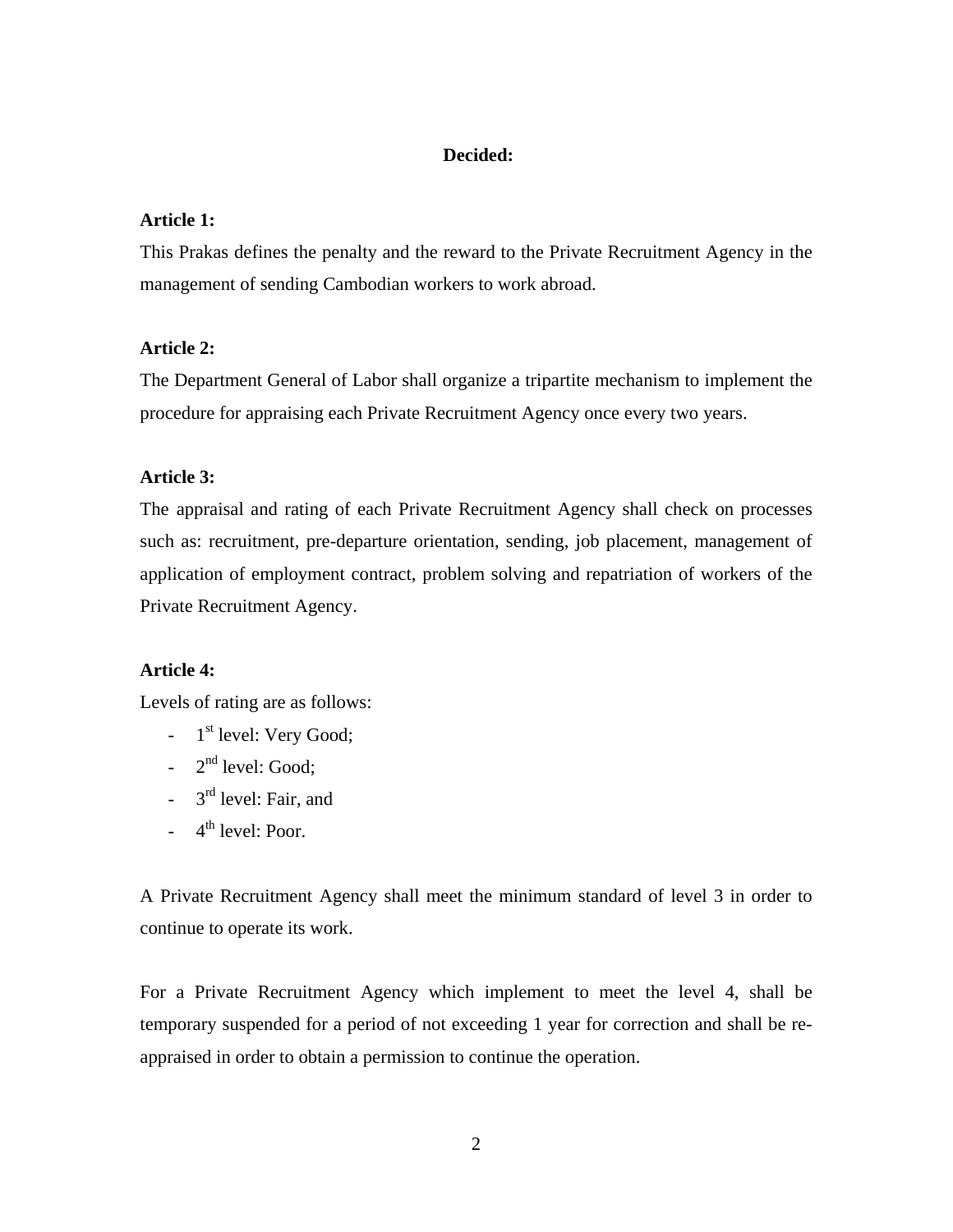## **Decided:**

### **Article 1:**

This Prakas defines the penalty and the reward to the Private Recruitment Agency in the management of sending Cambodian workers to work abroad.

#### **Article 2:**

The Department General of Labor shall organize a tripartite mechanism to implement the procedure for appraising each Private Recruitment Agency once every two years.

#### **Article 3:**

The appraisal and rating of each Private Recruitment Agency shall check on processes such as: recruitment, pre-departure orientation, sending, job placement, management of application of employment contract, problem solving and repatriation of workers of the Private Recruitment Agency.

### **Article 4:**

Levels of rating are as follows:

- $-1$ <sup>st</sup> level: Very Good;
- $-2^{nd}$  level: Good;
- $3<sup>rd</sup>$  level: Fair, and
- $-4$ <sup>th</sup> level: Poor.

A Private Recruitment Agency shall meet the minimum standard of level 3 in order to continue to operate its work.

For a Private Recruitment Agency which implement to meet the level 4, shall be temporary suspended for a period of not exceeding 1 year for correction and shall be reappraised in order to obtain a permission to continue the operation.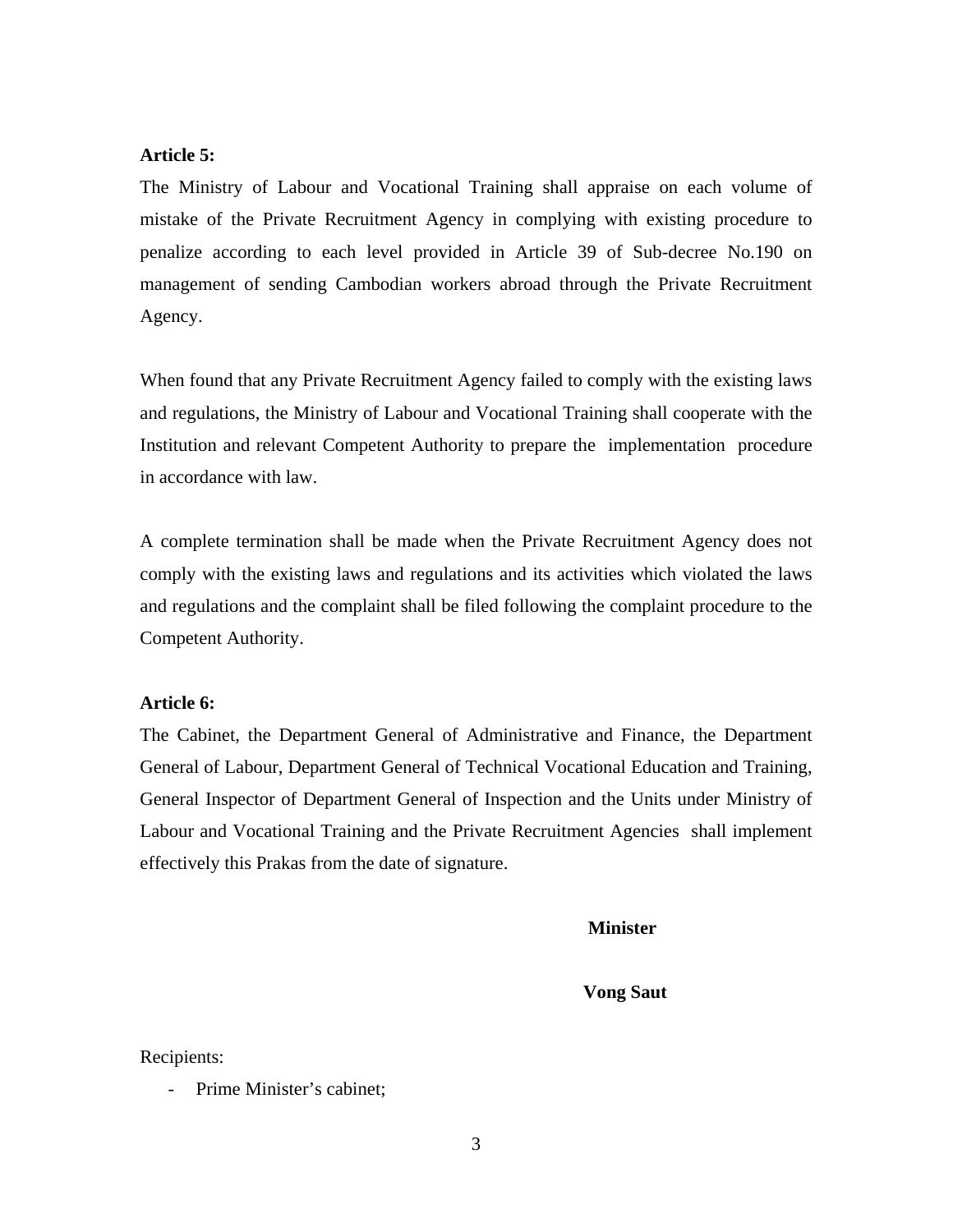### **Article 5:**

The Ministry of Labour and Vocational Training shall appraise on each volume of mistake of the Private Recruitment Agency in complying with existing procedure to penalize according to each level provided in Article 39 of Sub-decree No.190 on management of sending Cambodian workers abroad through the Private Recruitment Agency.

When found that any Private Recruitment Agency failed to comply with the existing laws and regulations, the Ministry of Labour and Vocational Training shall cooperate with the Institution and relevant Competent Authority to prepare the implementation procedure in accordance with law.

A complete termination shall be made when the Private Recruitment Agency does not comply with the existing laws and regulations and its activities which violated the laws and regulations and the complaint shall be filed following the complaint procedure to the Competent Authority.

## **Article 6:**

The Cabinet, the Department General of Administrative and Finance, the Department General of Labour, Department General of Technical Vocational Education and Training, General Inspector of Department General of Inspection and the Units under Ministry of Labour and Vocational Training and the Private Recruitment Agencies shall implement effectively this Prakas from the date of signature.

**Minister** 

 **Vong Saut** 

Recipients:

Prime Minister's cabinet;